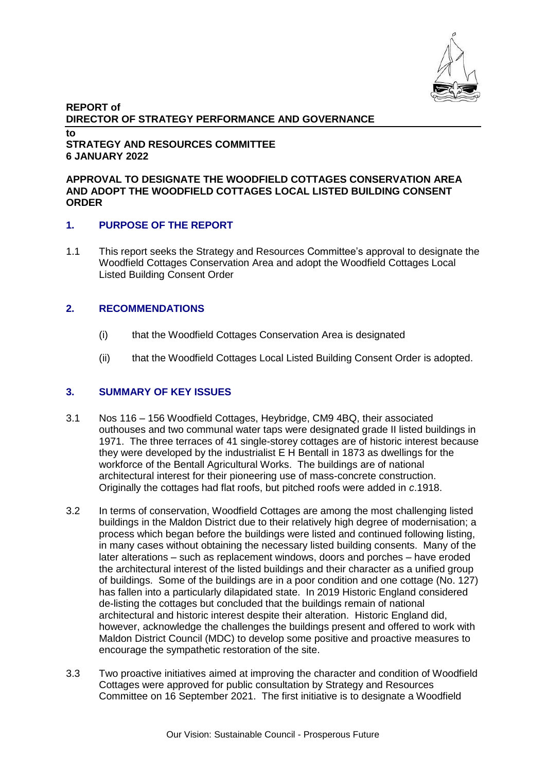

#### **REPORT of DIRECTOR OF STRATEGY PERFORMANCE AND GOVERNANCE to STRATEGY AND RESOURCES COMMITTEE 6 JANUARY 2022**

#### **APPROVAL TO DESIGNATE THE WOODFIELD COTTAGES CONSERVATION AREA AND ADOPT THE WOODFIELD COTTAGES LOCAL LISTED BUILDING CONSENT ORDER**

### **1. PURPOSE OF THE REPORT**

1.1 This report seeks the Strategy and Resources Committee's approval to designate the Woodfield Cottages Conservation Area and adopt the Woodfield Cottages Local Listed Building Consent Order

### **2. RECOMMENDATIONS**

- (i) that the Woodfield Cottages Conservation Area is designated
- (ii) that the Woodfield Cottages Local Listed Building Consent Order is adopted.

## **3. SUMMARY OF KEY ISSUES**

- 3.1 Nos 116 156 Woodfield Cottages, Heybridge, CM9 4BQ, their associated outhouses and two communal water taps were designated grade II listed buildings in 1971. The three terraces of 41 single-storey cottages are of historic interest because they were developed by the industrialist E H Bentall in 1873 as dwellings for the workforce of the Bentall Agricultural Works. The buildings are of national architectural interest for their pioneering use of mass-concrete construction. Originally the cottages had flat roofs, but pitched roofs were added in *c*.1918.
- 3.2 In terms of conservation, Woodfield Cottages are among the most challenging listed buildings in the Maldon District due to their relatively high degree of modernisation; a process which began before the buildings were listed and continued following listing, in many cases without obtaining the necessary listed building consents. Many of the later alterations – such as replacement windows, doors and porches – have eroded the architectural interest of the listed buildings and their character as a unified group of buildings. Some of the buildings are in a poor condition and one cottage (No. 127) has fallen into a particularly dilapidated state. In 2019 Historic England considered de-listing the cottages but concluded that the buildings remain of national architectural and historic interest despite their alteration. Historic England did, however, acknowledge the challenges the buildings present and offered to work with Maldon District Council (MDC) to develop some positive and proactive measures to encourage the sympathetic restoration of the site.
- 3.3 Two proactive initiatives aimed at improving the character and condition of Woodfield Cottages were approved for public consultation by Strategy and Resources Committee on 16 September 2021. The first initiative is to designate a Woodfield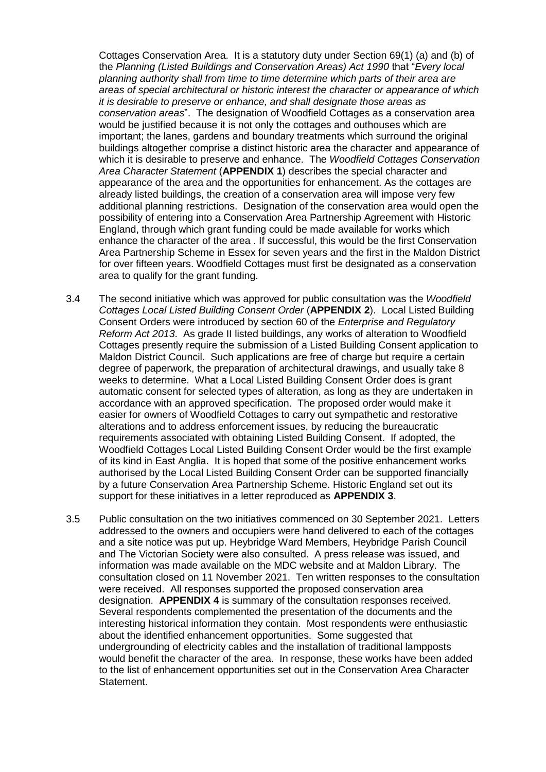Cottages Conservation Area. It is a statutory duty under Section 69(1) (a) and (b) of the *Planning (Listed Buildings and Conservation Areas) Act 1990* that "*Every local planning authority shall from time to time determine which parts of their area are areas of special architectural or historic interest the character or appearance of which it is desirable to preserve or enhance, and shall designate those areas as conservation areas*". The designation of Woodfield Cottages as a conservation area would be justified because it is not only the cottages and outhouses which are important; the lanes, gardens and boundary treatments which surround the original buildings altogether comprise a distinct historic area the character and appearance of which it is desirable to preserve and enhance. The *Woodfield Cottages Conservation Area Character Statement* (**APPENDIX 1**) describes the special character and appearance of the area and the opportunities for enhancement. As the cottages are already listed buildings, the creation of a conservation area will impose very few additional planning restrictions. Designation of the conservation area would open the possibility of entering into a Conservation Area Partnership Agreement with Historic England, through which grant funding could be made available for works which enhance the character of the area . If successful, this would be the first Conservation Area Partnership Scheme in Essex for seven years and the first in the Maldon District for over fifteen years. Woodfield Cottages must first be designated as a conservation area to qualify for the grant funding.

- 3.4 The second initiative which was approved for public consultation was the *Woodfield Cottages Local Listed Building Consent Order* (**APPENDIX 2**). Local Listed Building Consent Orders were introduced by section 60 of the *Enterprise and Regulatory Reform Act 2013*. As grade II listed buildings, any works of alteration to Woodfield Cottages presently require the submission of a Listed Building Consent application to Maldon District Council. Such applications are free of charge but require a certain degree of paperwork, the preparation of architectural drawings, and usually take 8 weeks to determine. What a Local Listed Building Consent Order does is grant automatic consent for selected types of alteration, as long as they are undertaken in accordance with an approved specification. The proposed order would make it easier for owners of Woodfield Cottages to carry out sympathetic and restorative alterations and to address enforcement issues, by reducing the bureaucratic requirements associated with obtaining Listed Building Consent. If adopted, the Woodfield Cottages Local Listed Building Consent Order would be the first example of its kind in East Anglia. It is hoped that some of the positive enhancement works authorised by the Local Listed Building Consent Order can be supported financially by a future Conservation Area Partnership Scheme. Historic England set out its support for these initiatives in a letter reproduced as **APPENDIX 3**.
- 3.5 Public consultation on the two initiatives commenced on 30 September 2021. Letters addressed to the owners and occupiers were hand delivered to each of the cottages and a site notice was put up. Heybridge Ward Members, Heybridge Parish Council and The Victorian Society were also consulted. A press release was issued, and information was made available on the MDC website and at Maldon Library. The consultation closed on 11 November 2021. Ten written responses to the consultation were received. All responses supported the proposed conservation area designation. **APPENDIX 4** is summary of the consultation responses received. Several respondents complemented the presentation of the documents and the interesting historical information they contain. Most respondents were enthusiastic about the identified enhancement opportunities. Some suggested that undergrounding of electricity cables and the installation of traditional lampposts would benefit the character of the area. In response, these works have been added to the list of enhancement opportunities set out in the Conservation Area Character Statement.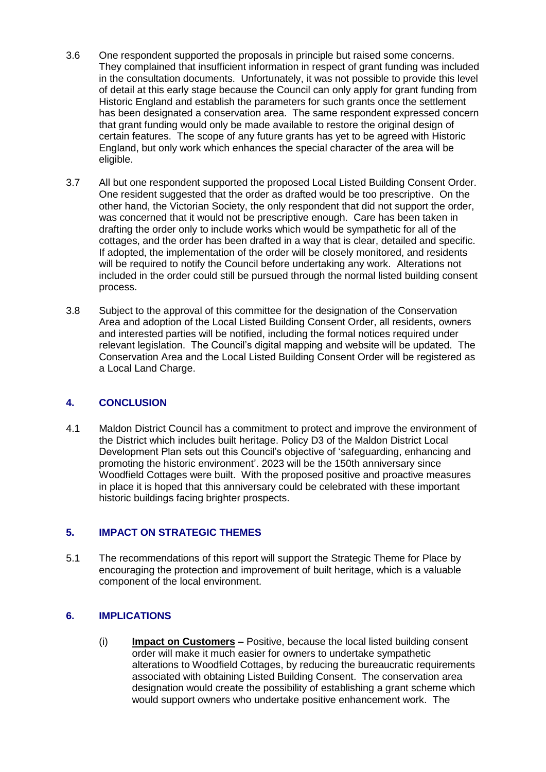- 3.6 One respondent supported the proposals in principle but raised some concerns. They complained that insufficient information in respect of grant funding was included in the consultation documents. Unfortunately, it was not possible to provide this level of detail at this early stage because the Council can only apply for grant funding from Historic England and establish the parameters for such grants once the settlement has been designated a conservation area. The same respondent expressed concern that grant funding would only be made available to restore the original design of certain features. The scope of any future grants has yet to be agreed with Historic England, but only work which enhances the special character of the area will be eligible.
- 3.7 All but one respondent supported the proposed Local Listed Building Consent Order. One resident suggested that the order as drafted would be too prescriptive. On the other hand, the Victorian Society, the only respondent that did not support the order, was concerned that it would not be prescriptive enough. Care has been taken in drafting the order only to include works which would be sympathetic for all of the cottages, and the order has been drafted in a way that is clear, detailed and specific. If adopted, the implementation of the order will be closely monitored, and residents will be required to notify the Council before undertaking any work. Alterations not included in the order could still be pursued through the normal listed building consent process.
- 3.8 Subject to the approval of this committee for the designation of the Conservation Area and adoption of the Local Listed Building Consent Order, all residents, owners and interested parties will be notified, including the formal notices required under relevant legislation. The Council's digital mapping and website will be updated. The Conservation Area and the Local Listed Building Consent Order will be registered as a Local Land Charge.

# **4. CONCLUSION**

4.1 Maldon District Council has a commitment to protect and improve the environment of the District which includes built heritage. Policy D3 of the Maldon District Local Development Plan sets out this Council's objective of 'safeguarding, enhancing and promoting the historic environment'. 2023 will be the 150th anniversary since Woodfield Cottages were built. With the proposed positive and proactive measures in place it is hoped that this anniversary could be celebrated with these important historic buildings facing brighter prospects.

# **5. IMPACT ON STRATEGIC THEMES**

5.1 The recommendations of this report will support the Strategic Theme for Place by encouraging the protection and improvement of built heritage, which is a valuable component of the local environment.

### **6. IMPLICATIONS**

(i) **Impact on Customers –** Positive, because the local listed building consent order will make it much easier for owners to undertake sympathetic alterations to Woodfield Cottages, by reducing the bureaucratic requirements associated with obtaining Listed Building Consent. The conservation area designation would create the possibility of establishing a grant scheme which would support owners who undertake positive enhancement work. The